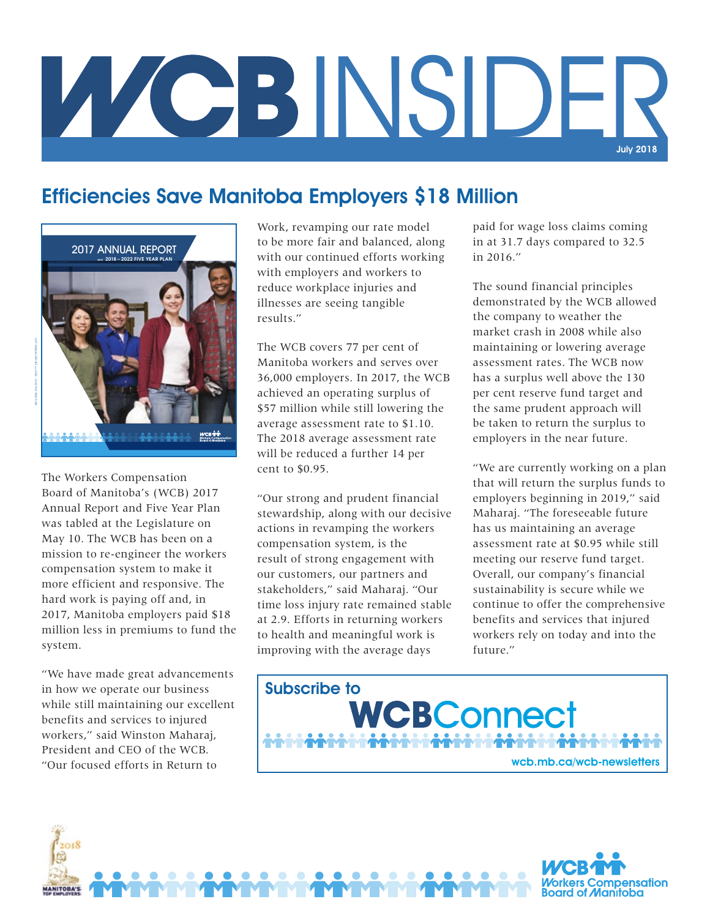

#### Efficiencies Save Manitoba Employers \$18 Million



**RECEIVED MANAGEMENT** 

The Workers Compensation Board of Manitoba's (WCB) 2017 Annual Report and Five Year Plan was tabled at the Legislature on May 10. The WCB has been on a mission to re-engineer the workers compensation system to make it more efficient and responsive. The hard work is paying off and, in 2017, Manitoba employers paid \$18 million less in premiums to fund the system.

"We have made great advancements in how we operate our business while still maintaining our excellent benefits and services to injured workers," said Winston Maharaj, President and CEO of the WCB. "Our focused efforts in Return to

Work, revamping our rate model to be more fair and balanced, along with our continued efforts working with employers and workers to reduce workplace injuries and illnesses are seeing tangible results."

The WCB covers 77 per cent of Manitoba workers and serves over 36,000 employers. In 2017, the WCB achieved an operating surplus of \$57 million while still lowering the average assessment rate to \$1.10. The 2018 average assessment rate will be reduced a further 14 per cent to \$0.95.

"Our strong and prudent financial stewardship, along with our decisive actions in revamping the workers compensation system, is the result of strong engagement with our customers, our partners and stakeholders," said Maharaj. "Our time loss injury rate remained stable at 2.9. Efforts in returning workers to health and meaningful work is improving with the average days

paid for wage loss claims coming in at 31.7 days compared to 32.5 in 2016."

The sound financial principles demonstrated by the WCB allowed the company to weather the market crash in 2008 while also maintaining or lowering average assessment rates. The WCB now has a surplus well above the 130 per cent reserve fund target and the same prudent approach will be taken to return the surplus to employers in the near future.

"We are currently working on a plan that will return the surplus funds to employers beginning in 2019," said Maharaj. "The foreseeable future has us maintaining an average assessment rate at \$0.95 while still meeting our reserve fund target. Overall, our company's financial sustainability is secure while we continue to offer the comprehensive benefits and services that injured workers rely on today and into the future."